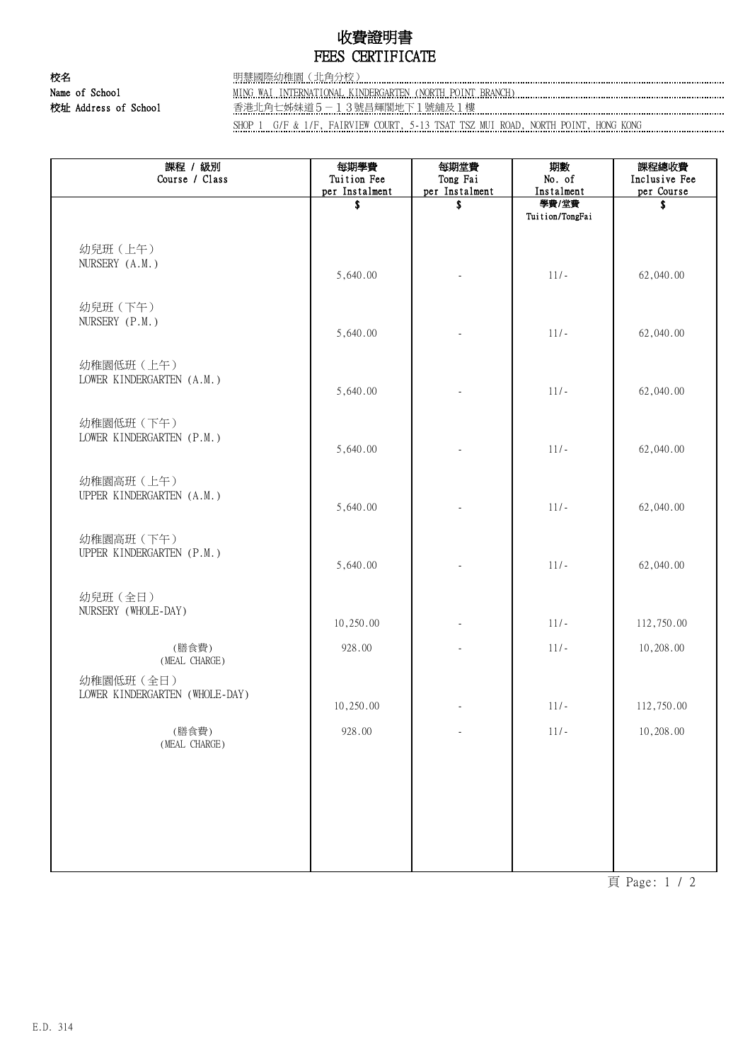## 收費證明書 FEES CERTIFICATE

校名 明慧國際幼稚園(北角分校) Name of School MING WAI INTERNATIONAL KINDERGARTEN (NORTH POINT BRANCH) 校址 Address of School 香港北角七姊妹道5--13號昌輝閣地下1號舖及1樓 ……………………………………………………………………………………

SHOP 1 G/F & 1/F, FAIRVIEW COURT, 5-13 TSAT TSZ MUI ROAD, NORTH POINT, HONG KONG .............................

| 課程 / 級別<br>Course / Class               | 每期學費<br>Tuition Fee<br>per Instalment | 每期堂費<br>Tong Fai<br>per Instalment | 期數<br>No. of<br>Instalment | 課程總收費<br>Inclusive Fee<br>per Course |
|-----------------------------------------|---------------------------------------|------------------------------------|----------------------------|--------------------------------------|
|                                         | \$                                    | \$                                 | 學費/堂費<br>Tuition/TongFai   | Ŝ.                                   |
| 幼兒班 (上午)<br>NURSERY (A.M.)              | 5,640.00                              |                                    | $11/-$                     | 62,040.00                            |
| 幼兒班 (下午)<br>NURSERY (P.M.)              |                                       |                                    |                            |                                      |
| 幼稚園低班 (上午)                              | 5,640.00                              |                                    | $11/-$                     | 62,040.00                            |
| LOWER KINDERGARTEN (A.M.)<br>幼稚園低班 (下午) | 5,640.00                              | L.                                 | $11/-$                     | 62,040.00                            |
| LOWER KINDERGARTEN (P.M.)               | 5,640.00                              |                                    | $11/-$                     | 62,040.00                            |
| 幼稚園高班 (上午)<br>UPPER KINDERGARTEN (A.M.) | 5,640.00                              |                                    | $11/-$                     | 62,040.00                            |
| 幼稚園高班 (下午)<br>UPPER KINDERGARTEN (P.M.) | 5,640.00                              |                                    | $11/-$                     | 62,040.00                            |
| 幼兒班 (全日)<br>NURSERY (WHOLE-DAY)         | 10,250.00                             |                                    | $11/-$                     | 112,750.00                           |
| (膳食費)<br>(MEAL CHARGE)<br>幼稚園低班 (全日)    | 928.00                                |                                    | $11/-$                     | 10,208.00                            |
| LOWER KINDERGARTEN (WHOLE-DAY)          | 10,250.00                             |                                    | $11/-$                     | 112,750.00                           |
| (膳食費)<br>(MEAL CHARGE)                  | 928.00                                | ÷,                                 | $11/-$                     | 10,208.00                            |
|                                         |                                       |                                    |                            |                                      |
|                                         |                                       |                                    |                            |                                      |

頁 Page: 1 / 2